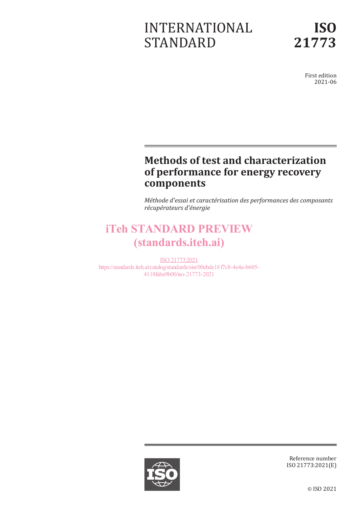# INTERNATIONAL STANDARD

First edition 2021-06

# **Methods of test and characterization of performance for energy recovery components**

*Méthode d'essai et caractérisation des performances des composants récupérateurs d'énergie*

# iTeh STANDARD PREVIEW (standards.iteh.ai)

ISO 21773:2021 https://standards.iteh.ai/catalog/standards/sist/00ebde1f-f7c8-4e4a-b605- 4118faba9b00/iso-21773-2021



Reference number ISO 21773:2021(E)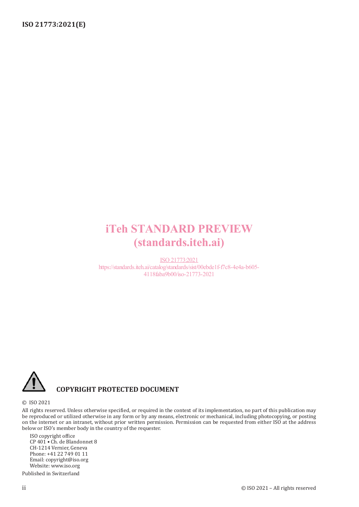# iTeh STANDARD PREVIEW (standards.iteh.ai)

ISO 21773:2021 https://standards.iteh.ai/catalog/standards/sist/00ebde1f-f7c8-4e4a-b605- 4118faba9b00/iso-21773-2021



# **COPYRIGHT PROTECTED DOCUMENT**

#### © ISO 2021

All rights reserved. Unless otherwise specified, or required in the context of its implementation, no part of this publication may be reproduced or utilized otherwise in any form or by any means, electronic or mechanical, including photocopying, or posting on the internet or an intranet, without prior written permission. Permission can be requested from either ISO at the address below or ISO's member body in the country of the requester.

ISO copyright office CP 401 • Ch. de Blandonnet 8 CH-1214 Vernier, Geneva Phone: +41 22 749 01 11 Email: copyright@iso.org Website: www.iso.org Published in Switzerland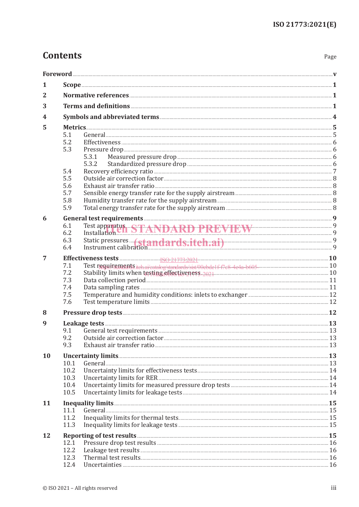# **Contents**

Page

| 1         |                                        |                                                                              |  |  |
|-----------|----------------------------------------|------------------------------------------------------------------------------|--|--|
| 2         |                                        |                                                                              |  |  |
| 3         |                                        |                                                                              |  |  |
| 4         |                                        |                                                                              |  |  |
| 5         |                                        |                                                                              |  |  |
|           | 5.1<br>5.2<br>5.3                      | 5.3.1<br>5.3.2                                                               |  |  |
|           | 5.4<br>5.5<br>5.6<br>5.7<br>5.8<br>5.9 |                                                                              |  |  |
| 6         | 6.1<br>6.2<br>6.3<br>6.4               | Test apparatus STANDARD PREVIEW 99<br>Static pressures (standards.itch.ai) 3 |  |  |
| 7         | 7.1<br>7.2<br>7.3<br>7.4<br>7.5<br>7.6 | Effectiveness tests $10$                                                     |  |  |
| 8         |                                        |                                                                              |  |  |
| 9         | 9.1<br>9.3                             |                                                                              |  |  |
| <b>10</b> | 10.1<br>10.2<br>10.3<br>10.4<br>10.5   | Uncertainty limits 13                                                        |  |  |
| 11        | 11.1<br>11.2<br>11.3                   |                                                                              |  |  |
| 12        | 12.1<br>12.2<br>12.3<br>12.4           |                                                                              |  |  |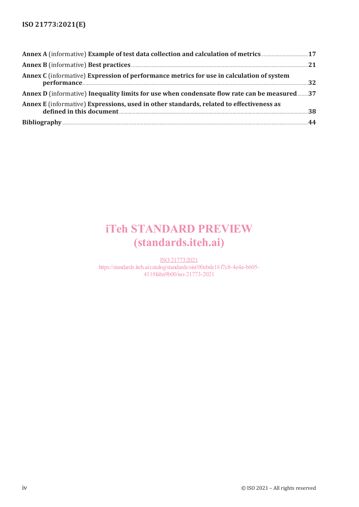# **ISO 21773:2021(E)**

| Annex C (informative) Expression of performance metrics for use in calculation of system    | 32 |
|---------------------------------------------------------------------------------------------|----|
| Annex D (informative) Inequality limits for use when condensate flow rate can be measured37 |    |
| Annex E (informative) Expressions, used in other standards, related to effectiveness as     | 38 |
| <b>Bibliography</b>                                                                         |    |

# iTeh STANDARD PREVIEW (standards.iteh.ai)

ISO 21773:2021 https://standards.iteh.ai/catalog/standards/sist/00ebde1f-f7c8-4e4a-b605- 4118faba9b00/iso-21773-2021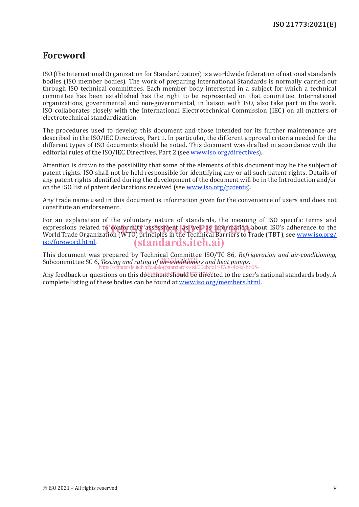# **Foreword**

ISO (the International Organization for Standardization) is a worldwide federation of national standards bodies (ISO member bodies). The work of preparing International Standards is normally carried out through ISO technical committees. Each member body interested in a subject for which a technical committee has been established has the right to be represented on that committee. International organizations, governmental and non-governmental, in liaison with ISO, also take part in the work. ISO collaborates closely with the International Electrotechnical Commission (IEC) on all matters of electrotechnical standardization.

The procedures used to develop this document and those intended for its further maintenance are described in the ISO/IEC Directives, Part 1. In particular, the different approval criteria needed for the different types of ISO documents should be noted. This document was drafted in accordance with the editorial rules of the ISO/IEC Directives, Part 2 (see www.iso.org/directives).

Attention is drawn to the possibility that some of the elements of this document may be the subject of patent rights. ISO shall not be held responsible for identifying any or all such patent rights. Details of any patent rights identified during the development of the document will be in the Introduction and/or on the ISO list of patent declarations received (see www.iso.org/patents).

Any trade name used in this document is information given for the convenience of users and does not constitute an endorsement.

For an explanation of the voluntary nature of standards, the meaning of ISO specific terms and expressions related to conformity assessment, as well as information about ISO's adherence to the experience or<br>World Trade Organization (WTO) principles in the Technical Barriers to Trade (TBT), see www.iso.org/ World Trade Organization (WTO) principles in the Technical Barriers to Trade (TBT), see www.iso.org/ iso/foreword.html. (standards.iteh.ai)

This document was prepared by Technical Committee ISO/TC 86, *Refrigeration and air-conditioning*, Subcommittee SC 6, *Testing and rating of air-conditioners and heat pumps*. /standards.iteh.ai/catalog/standards/sist/00ebde1f-f

Any feedback or questions on this document should be directed to the user's national standards body. A complete listing of these bodies can be found at www.iso.org/members.html.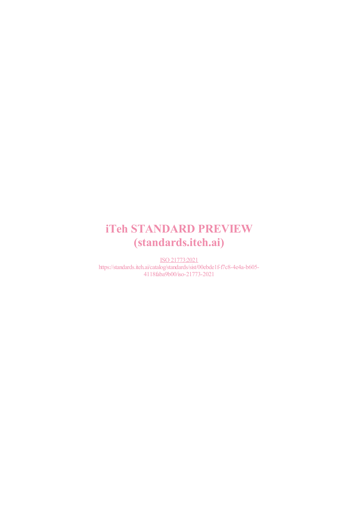# iTeh STANDARD PREVIEW (standards.iteh.ai)

ISO 21773:2021 https://standards.iteh.ai/catalog/standards/sist/00ebde1f-f7c8-4e4a-b605- 4118faba9b00/iso-21773-2021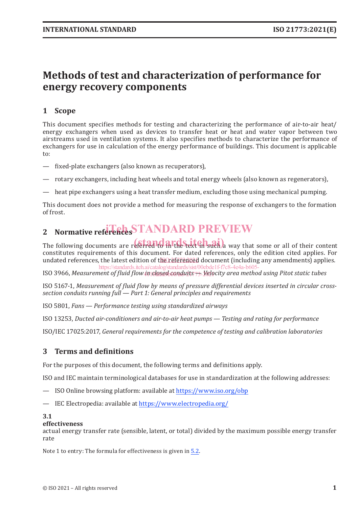# **Methods of test and characterization of performance for energy recovery components**

## **1 Scope**

This document specifies methods for testing and characterizing the performance of air-to-air heat/ energy exchangers when used as devices to transfer heat or heat and water vapor between two airstreams used in ventilation systems. It also specifies methods to characterize the performance of exchangers for use in calculation of the energy performance of buildings. This document is applicable to:

- fixed-plate exchangers (also known as recuperators),
- rotary exchangers, including heat wheels and total energy wheels (also known as regenerators),
- heat pipe exchangers using a heat transfer medium, excluding those using mechanical pumping.

This document does not provide a method for measuring the response of exchangers to the formation of frost.

# 2 Normative references **STANDARD PREVIEW**

The following documents are referred to in the text in such a way that some or all of their content constitutes requirements of this document. For dated references, only the edition cited applies. For undated references, the latest edition of the referenced document (including any amendments) applies. https://standards.iteh.ai/catalog/standards/sist/00ebde1f-f7c8-4e4a-b605-

ISO 3966, Measurement of fluid flow in closed condu<u>its, 3. Vel</u>ocity area method using Pitot static tubes

ISO 5167-1, *Measurement of fluid flow by means of pressure differential devices inserted in circular crosssection conduits running full — Part 1: General principles and requirements*

ISO 5801, *Fans — Performance testing using standardized airways*

ISO 13253, *Ducted air-conditioners and air-to-air heat pumps — Testing and rating for performance*

ISO/IEC 17025:2017, *General requirements for the competence of testing and calibration laboratories*

## **3 Terms and definitions**

For the purposes of this document, the following terms and definitions apply.

ISO and IEC maintain terminological databases for use in standardization at the following addresses:

- ISO Online browsing platform: available at https://www.iso. org/obp
- IEC Electropedia: available at https://www.electropedia.org/

#### **3.1**

#### **effectiveness**

actual energy transfer rate (sensible, latent, or total) divided by the maximum possible energy transfer rate

Note 1 to entry: The formula for effectiveness is given in 5.2.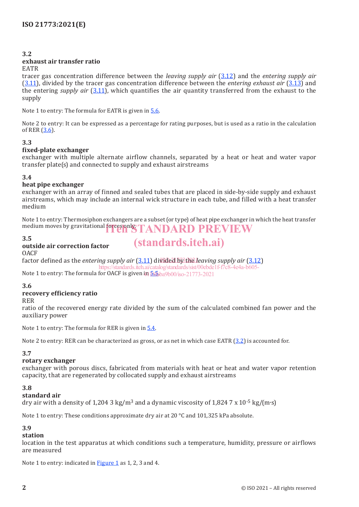#### **3.2**

### **exhaust air transfer ratio**

EATR

tracer gas concentration difference between the *leaving supply air* (3.12) and the *entering supply air* (3.11), divided by the tracer gas concentration difference between the *entering exhaust air* (3.13) and the entering *supply air* (3.11), which quantifies the air quantity transferred from the exhaust to the supply

Note 1 to entry: The formula for EATR is given in 5.6.

Note 2 to entry: It can be expressed as a percentage for rating purposes, but is used as a ratio in the calculation of RER  $(3.6)$ .

#### **3.3**

#### **fixed-plate exchanger**

exchanger with multiple alternate airflow channels, separated by a heat or heat and water vapor transfer plate(s) and connected to supply and exhaust airstreams

#### **3.4**

### **heat pipe exchanger**

exchanger with an array of finned and sealed tubes that are placed in side-by-side supply and exhaust airstreams, which may include an internal wick structure in each tube, and filled with a heat transfer medium

Note 1 to entry: Thermosiphon exchangers are a subset (or type) of heat pipe exchanger in which the heat transfer medium moves by gravitational forces only. TANDARD PREVIEW

(standards.iteh.ai)

#### **3.5**

# **outside air correction factor**

**OACF** 

factor defined as the *entering supply air* (3.11) divided by the *leaving supply air* (3.12) https://standards.iteh.ai/catalog/standards/sist/00ebde1f-f7c8-4e4a-b605-

Note 1 to entry: The formula for OACF is given in <u>585.ba9b00/iso-21773-2021</u>

### **3.6**

### **recovery efficiency ratio**

RER

ratio of the recovered energy rate divided by the sum of the calculated combined fan power and the auxiliary power

Note 1 to entry: The formula for RER is given in 5.4.

Note 2 to entry: RER can be characterized as gross, or as net in which case EATR (3.2) is accounted for.

## **3.7**

## **rotary exchanger**

exchanger with porous discs, fabricated from materials with heat or heat and water vapor retention capacity, that are regenerated by collocated supply and exhaust airstreams

#### **3.8**

#### **standard air**

dry air with a density of 1,204 3 kg/m<sup>3</sup> and a dynamic viscosity of 1,824 7 x 10<sup>-5</sup> kg/(m⋅s)

Note 1 to entry: These conditions approximate dry air at 20  $\degree$ C and 101,325 kPa absolute.

#### **3.9**

#### **station**

location in the test apparatus at which conditions such a temperature, humidity, pressure or airflows are measured

Note 1 to entry: indicated in **Figure 1** as 1, 2, 3 and 4.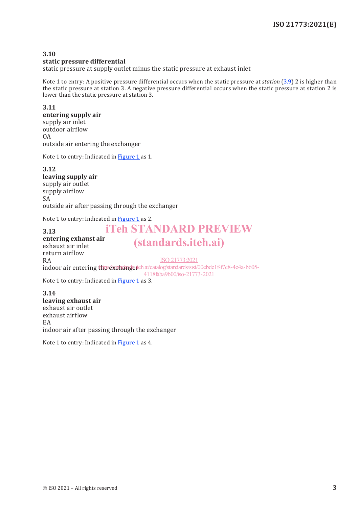### **3.10**

#### **static pressure differential**

static pressure at supply outlet minus the static pressure at exhaust inlet

Note 1 to entry: A positive pressure differential occurs when the static pressure at *station* (3.9) 2 is higher than the static pressure at station 3. A negative pressure differential occurs when the static pressure at station 2 is lower than the static pressure at station 3.

#### **3.11**

**entering supply air** supply air inlet outdoor airflow OA outside air entering the exchanger

Note 1 to entry: Indicated in Figure 1 as 1.

#### **3.12**

**3.13**

return airflow

### **leaving supply air** supply air outlet supply airflow SA

outside air after passing through the exchanger

Note 1 to entry: Indicated in  $Figure 1$  as 2.

## **entering exhaust air** exhaust air inlet iTeh STANDARD PREVIEW (standards.iteh.ai) ISO 21773:2021

RA indoor air entering the exchanger chai/catalog/standards/sist/00ebde1f-f7c8-4e4a-b605-4118faba9b00/iso-21773-2021

Note 1 to entry: Indicated in Figure 1 as 3.

#### **3.14 leaving exhaust air** exhaust air outlet exhaust airflow EA indoor air after passing through the exchanger

Note 1 to entry: Indicated in **Figure 1** as 4.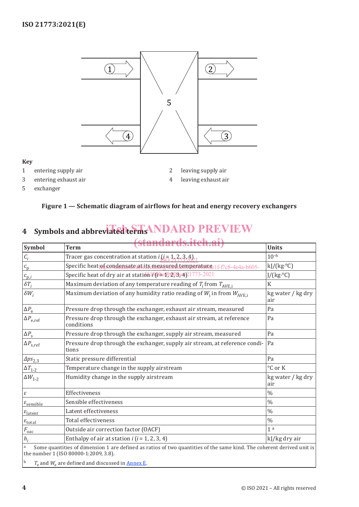

- **Key**
- 
- 3 entering exhaust air 4 leaving exhaust air
- 5 exchanger
- 
- 

## **Figure 1 — Schematic diagram of airflows for heat and energy recovery exchangers**

# 4 Symbols and abbreviated terms **ANDARD PREVIEW** (standards.iteh.ai)

| Symbol                                                                                                                                                                                                                                       | <del>standards.itch.al)</del><br><b>Term</b>                                         | <b>Units</b>             |
|----------------------------------------------------------------------------------------------------------------------------------------------------------------------------------------------------------------------------------------------|--------------------------------------------------------------------------------------|--------------------------|
| $C_i$                                                                                                                                                                                                                                        | Tracer gas concentration at station $i_1(i_1 = 1, 2, 3, 4)$                          | $10^{-6}$                |
| $c_p$                                                                                                                                                                                                                                        | Specific heatiof condensate at its measured temperature 1f-f7c8-4e4a-b605-           | kJ/(kg °C)               |
| $c_{p,i}$                                                                                                                                                                                                                                    | Specific heat of dry air at station 18(hbal) 20354 21773-2021                        | $J/(kg \cdot ^{\circ}C)$ |
| $\delta T_i$                                                                                                                                                                                                                                 | Maximum deviation of any temperature reading of $T_i$ from $T_{AVE,i}$               | $\mathbf K$              |
| $\delta W_i$                                                                                                                                                                                                                                 | Maximum deviation of any humidity ratio reading of $W_i$ in from $W_{\text{AVE},i}$  | kg water / kg dry<br>air |
| $\Delta P_e$                                                                                                                                                                                                                                 | Pressure drop through the exchanger, exhaust air stream, measured                    | Pa                       |
| $\Delta P_{\rm e,ref}$                                                                                                                                                                                                                       | Pressure drop through the exchanger, exhaust air stream, at reference<br>conditions  | Pa                       |
| $\Delta P_{\rm s}$                                                                                                                                                                                                                           | Pressure drop through the exchanger, supply air stream, measured                     | Pa                       |
| $\Delta P_{\rm s,ref}$                                                                                                                                                                                                                       | Pressure drop through the exchanger, supply air stream, at reference condi-<br>tions | Pa                       |
| $\Delta ps_{2,3}$                                                                                                                                                                                                                            | Static pressure differential                                                         | Pa                       |
| $\Delta T_{1\text{-}2}$                                                                                                                                                                                                                      | Temperature change in the supply airstream                                           | °C or K                  |
| $\Delta W_{1-2}$                                                                                                                                                                                                                             | Humidity change in the supply airstream                                              | kg water / kg dry<br>air |
| $\boldsymbol{\mathcal{E}}$                                                                                                                                                                                                                   | Effectiveness                                                                        | $\frac{0}{0}$            |
| $\varepsilon_{\rm sensible}$                                                                                                                                                                                                                 | Sensible effectiveness                                                               | $\frac{0}{0}$            |
| $\varepsilon_{\text{latt}}$                                                                                                                                                                                                                  | Latent effectiveness                                                                 | $\frac{0}{0}$            |
| $\varepsilon_{\underline{\text{total}}}$                                                                                                                                                                                                     | Total effectiveness                                                                  | $\frac{0}{0}$            |
| $F_{\underline{\text{oac}}}$                                                                                                                                                                                                                 | Outside air correction factor (OACF)                                                 | 1 <sup>a</sup>           |
| $h_i$                                                                                                                                                                                                                                        | Enthalpy of air at station $i$ ( $i = 1, 2, 3, 4$ )                                  | kJ/kg dry air            |
| Some quantities of dimension 1 are defined as ratios of two quantities of the same kind. The coherent derived unit is<br>a<br>the number 1 (ISO 80000-1:2009, 3.8).<br>b<br>$T_e$ and $W_e$ are defined and discussed in $\frac{AnnexE}{}$ . |                                                                                      |                          |
|                                                                                                                                                                                                                                              |                                                                                      |                          |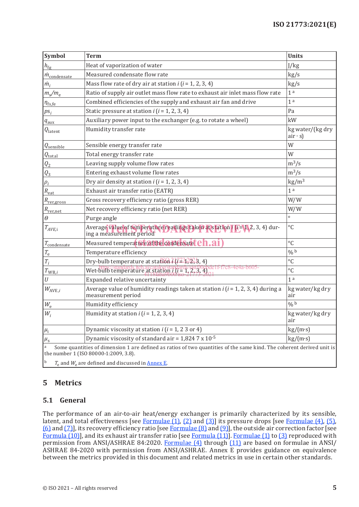| Symbol                             | <b>Term</b>                                                                                                                                                    | <b>Units</b>                      |
|------------------------------------|----------------------------------------------------------------------------------------------------------------------------------------------------------------|-----------------------------------|
| $h_{\underline{\mathrm{fg}}}$      | Heat of vaporization of water                                                                                                                                  | J/kg                              |
| $\dot{m}_{\rm condensate}$         | Measured condensate flow rate                                                                                                                                  | kg/s                              |
| $\dot{m_i}$                        | Mass flow rate of dry air at station $i$ ( $i$ = 1, 2, 3, 4)                                                                                                   | kg/s                              |
| $m_s/m_e$                          | Ratio of supply air outlet mass flow rate to exhaust air inlet mass flow rate                                                                                  | 1 <sup>a</sup>                    |
| $\eta_{\rm fs,fe}$                 | Combined efficiencies of the supply and exhaust air fan and drive                                                                                              | 1 <sup>a</sup>                    |
| $ps_i$                             | Static pressure at station $i$ ( $i$ = 1, 2, 3, 4)                                                                                                             | Pa                                |
| $q_{\rm aux}$                      | Auxiliary power input to the exchanger (e.g. to rotate a wheel)                                                                                                | kW                                |
| $Q_{\rm latent}$                   | Humidity transfer rate                                                                                                                                         | kg water/(kg dry<br>$air \cdot s$ |
| $Q_{\rm sensible}$                 | Sensible energy transfer rate                                                                                                                                  | W                                 |
| $Q_{\text{total}}$                 | Total energy transfer rate                                                                                                                                     | W                                 |
| $Q_{2}$                            | Leaving supply volume flow rates                                                                                                                               | $m^3/s$                           |
| $Q_3$                              | Entering exhaust volume flow rates                                                                                                                             | $m^3/s$                           |
| $\rho_i$                           | Dry air density at station $i$ ( $i$ = 1, 2, 3, 4)                                                                                                             | $\text{kg/m}^3$                   |
| $R_{\underline{\text{eat}}}$       | Exhaust air transfer ratio (EATR)                                                                                                                              | 1 <sup>a</sup>                    |
| $R_{\rm rer, gross}$               | Gross recovery efficiency ratio (gross RER)                                                                                                                    | W/W                               |
| $R_{\text{rer,net}}$               | Net recovery efficiency ratio (net RER)                                                                                                                        | W/W                               |
| $\boldsymbol{\theta}$              | Purge angle                                                                                                                                                    | $\circ$                           |
| $T_{AVE,i}$                        | Average value of temperature readings taken at station [i]=1, 2, 3, 4) dur-<br>ing a measurement period                                                        | $\rm ^{\circ}C$                   |
| $T_{\underline{{\rm condensate}}}$ | Measured temperature of the condensate <b>Ch.ai</b>                                                                                                            | $\rm ^{\circ}C$                   |
| $T_{\rm e}$                        | Temperature efficiency                                                                                                                                         | $0/0$ b                           |
| $T_i$                              | Dry-bulb temperature at station $\frac{2(7232928)}{8}$ , 4)                                                                                                    | $\rm ^{\circ}C$                   |
| $T_{\text{WB},i}$                  | Wet-bulb temperature at station in the 11-17c8-4e4a-b605                                                                                                       | $\rm ^{\circ}C$                   |
| U                                  | Expanded relative uncertainty                                                                                                                                  | 1 <sup>a</sup>                    |
| $W_{AVE,i}$                        | Average value of humidity readings taken at station $i$ ( $i$ = 1, 2, 3, 4) during a<br>measurement period                                                     | kg water/kg dry<br>air            |
| $W_{\rm e}$                        | Humidity efficiency                                                                                                                                            | $0/0$ b                           |
| $W_i$                              | Humidity at station $i$ ( $i$ = 1, 2, 3, 4)                                                                                                                    | kg water/kg dry<br>air            |
| $\mu_{\rm i}$                      | Dynamic viscosity at station $i$ ( $i = 1, 2, 3$ or 4)                                                                                                         | kg/(m·s)                          |
| $\mu_{\rm s}$                      | Dynamic viscosity of standard air = $1,824$ 7 x $10^{-5}$                                                                                                      | kg/(m·s)                          |
|                                    | Some quantities of dimension 1 are defined as ratios of two quantities of the same kind. The coherent derived unit is<br>the number 1 (ISO 80000-1:2009, 3.8). |                                   |

 $\vert b \vert$  *T*<sub>e</sub> and *W*<sub>e</sub> are defined and discussed in <u>Annex E</u>.

## **5 Metrics**

## **5.1 General**

The performance of an air-to-air heat/energy exchanger is primarily characterized by its sensible, latent, and total effectiveness [see Formulae (1), (2) and (3)] its pressure drops [see Formulae (4), (5), (6) and (7)], its recovery efficiency ratio [see Formulae (8) and (9)], the outside air correction factor [see Formula (10)], and its exhaust air transfer ratio [see Formula (11)]. Formulae (1) to (3) reproduced with permission from ANSI/ASHRAE 84:2020. Formulae (4) through (11) are based on formulae in ANSI/ ASHRAE 84-2020 with permission from ANSI/ASHRAE. Annex E provides guidance on equivalence between the metrics provided in this document and related metrics in use in certain other standards.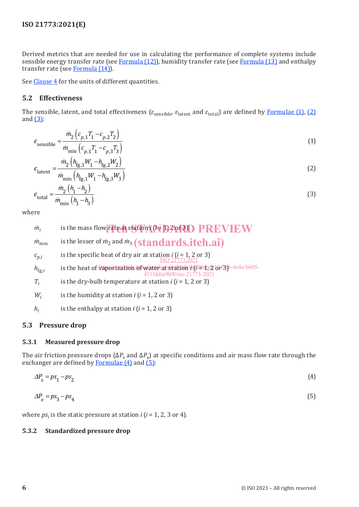Derived metrics that are needed for use in calculating the performance of complete systems include sensible energy transfer rate (see Formula (12)), humidity transfer rate (see Formula (13) and enthalpy transfer rate (see Formula (14)).

See Clause 4 for the units of different quantities.

### **5.2 Effectiveness**

The sensible, latent, and total effectiveness ( $\varepsilon$ <sub>sensible</sub>,  $\varepsilon$ <sub>latent</sub> and  $\varepsilon$ <sub>total</sub>) are defined by <u>Formulae (1), (2)</u> and  $(3)$ :

$$
\varepsilon_{\text{sensible}} = \frac{\dot{m}_2 \left( c_{p,1} T_1 - c_{p,2} T_2 \right)}{\dot{m}_{\text{min}} \left( c_{p,1} T_1 - c_{p,3} T_3 \right)} \tag{1}
$$

$$
\varepsilon_{\text{latent}} = \frac{\dot{m}_2 \left( h_{\text{fg,1}} W_1 - h_{\text{fg,2}} W_2 \right)}{\dot{m}_{\text{min}} \left( h_{\text{fg,1}} W_1 - h_{\text{fg,3}} W_3 \right)} \tag{2}
$$

$$
\varepsilon_{\text{total}} = \frac{\dot{m}_2 \left( h_1 - h_2 \right)}{\dot{m}_{\text{min}} \left( h_1 - h_3 \right)} \tag{3}
$$

where

| $\dot{m_i}$         | is the mass flow rate at station's (N#D) 2013D PREVIEW                                                 |
|---------------------|--------------------------------------------------------------------------------------------------------|
| $\dot{m}_{\rm min}$ | is the lesser of $\dot{m}_2$ and $\dot{m}_3$ (standards.itch.ai)                                       |
| $c_{p,i}$           | is the specific heat of dry air at station $i$ ( $i = 1, 2$ or 3)                                      |
| $h_{\text{fg},i}$   | is the heat of vaporization of water at station in the on-88-4e4a-b605-<br>4118faba9b00/iso-21773-2021 |
| $T_i$               | is the dry-bulb temperature at station $i$ ( $i = 1, 2$ or 3)                                          |
| $W_i$               | is the humidity at station $i$ ( $i = 1, 2$ or 3)                                                      |
| $h_i$               | is the enthalpy at station $i$ ( $i = 1, 2$ or 3)                                                      |

### **5.3 Pressure drop**

### **5.3.1 Measured pressure drop**

The air friction pressure drops ( $\Delta P_s$  and  $\Delta P_e$ ) at specific conditions and air mass flow rate through the exchanger are defined by Formulae  $(4)$  and  $(5)$ :

$$
\Delta P_{\rm s} = p s_1 - p s_2 \tag{4}
$$

$$
\Delta P_{\rm e} = p s_3 - p s_4 \tag{5}
$$

where  $ps_i$  is the static pressure at station *i* (*i* = 1, 2, 3 or 4).

### **5.3.2 Standardized pressure drop**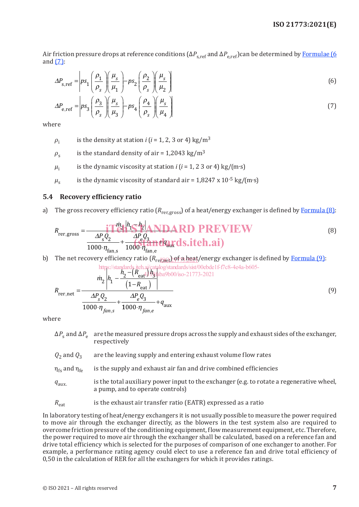Air friction pressure drops at reference conditions (ΔP<sub>s,ref</sub> and ΔP<sub>e,ref</sub>)can be determined by Formulae (6 and  $(7)$ :

$$
\Delta P_{\rm s,ref} = \left| ps_1 \left( \frac{\rho_1}{\rho_s} \right) \left( \frac{\mu_s}{\mu_1} \right) - ps_2 \left( \frac{\rho_2}{\rho_s} \right) \left( \frac{\mu_s}{\mu_2} \right) \right| \tag{6}
$$

$$
\Delta P_{\text{e,ref}} = \left| ps_3 \left( \frac{\rho_3}{\rho_s} \right) \left( \frac{\mu_s}{\mu_3} \right) - ps_4 \left( \frac{\rho_4}{\rho_s} \right) \left( \frac{\mu_s}{\mu_4} \right) \right| \tag{7}
$$

where

 $\rho_i$  is the density at station *i* (*i* = 1, 2, 3 or 4) kg/m<sup>3</sup>

 $\rho_s$  is the standard density of air = 1,2043 kg/m<sup>3</sup>

$$
\mu_i
$$
 is the dynamic viscosity at station *i* (*i* = 1, 2 3 or 4) kg/(m·s)

 $\mu$ <sub>s</sub> is the dynamic viscosity of standard air = 1,8247 x 10<sup>-5</sup> kg/(m⋅s)

#### **5.4 Recovery efficiency ratio**

a) The gross recovery efficiency ratio ( $R_{\text{re},\text{gross}}$ ) of a heat/energy exchanger is defined by **Formula** (8):

$$
R_{\text{rer,gross}} = \frac{\mathbf{i} \mathbf{T}_{\text{eq}}^{m} \mathbf{h}_{\text{1}} \mathbf{S}_{\text{q}}^{h}_{\text{2}}}{\frac{\Delta P_{\text{g}} Q_{2}}{1000 \cdot \eta_{\text{fan, s}}} + \frac{\Delta P_{\text{eq}} Q_{3}}{1000 \cdot \eta_{\text{fan, e}}} \mathbf{t}_{\text{aux}} d_{\text{S}}. \text{itch.} \text{ai})}
$$
(8)

b) The net recovery efficiency ratio ( $R_{\textrm{ref,Meh}}$  of a heat/energy exchanger is defined by <u>Formula (9)</u>:

$$
R_{\text{rer,net}} = \frac{\frac{h_{\text{trps}}}{h_2} \left| h_1 - \frac{h_2 - (R_{\text{eat}}) h_3}{(1 - R_{\text{eat}})} \right|}{\frac{h_2 - (R_{\text{eat}}) h_3}{1000 \cdot \eta_{fan,s}} + \frac{h_2 Q_3}{1000 \cdot \eta_{fan,e}} + q_{\text{aux}}} \tag{9}
$$

where

 $\Delta P_s$  and  $\Delta P_e$  are the measured pressure drops across the supply and exhaust sides of the exchanger, respectively

- $Q_2$  and  $Q_3$  are the leaving supply and entering exhaust volume flow rates
- $\eta_{fs}$  and  $\eta_{fe}$  is the supply and exhaust air fan and drive combined efficiencies
- $q_{\text{aux}}$  is the total auxiliary power input to the exchanger (e.g. to rotate a regenerative wheel, a pump, and to operate controls)

 $R_{\text{eat}}$  is the exhaust air transfer ratio (EATR) expressed as a ratio

In laboratory testing of heat/energy exchangers it is not usually possible to measure the power required to move air through the exchanger directly, as the blowers in the test system also are required to overcome friction pressure of the conditioning equipment, flow measurement equipment, etc. Therefore, the power required to move air through the exchanger shall be calculated, based on a reference fan and drive total efficiency which is selected for the purposes of comparison of one exchanger to another. For example, a performance rating agency could elect to use a reference fan and drive total efficiency of 0,50 in the calculation of RER for all the exchangers for which it provides ratings.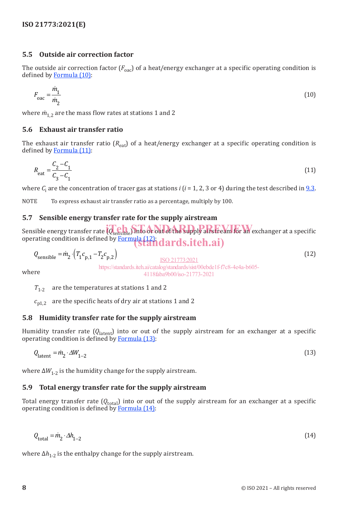#### **5.5 Outside air correction factor**

The outside air correction factor  $(F_{oa})$  of a heat/energy exchanger at a specific operating condition is defined by Formula (10):

$$
F_{\text{oac}} = \frac{\dot{m}_1}{\dot{m}_2} \tag{10}
$$

where  $\dot{m}_{1,2}$  are the mass flow rates at stations 1 and 2

#### **5.6 Exhaust air transfer ratio**

The exhaust air transfer ratio  $(R_{ext})$  of a heat/energy exchanger at a specific operating condition is defined by Formula (11):

$$
R_{\text{eat}} = \frac{C_2 - C_1}{C_3 - C_1} \tag{11}
$$

where *C*<sup>i</sup> are the concentration of tracer gas at stations *i* (*i* = 1, 2, 3 or 4) during the test described in 9.3.

NOTE To express exhaust air transfer ratio as a percentage, multiply by 100.

#### **5.7 Sensible energy transfer rate for the supply airstream**

Sensible energy transfer rate (*Q*<sub>sensible</sub>) into or out of the supply airstream for an exchanger at a specific operating condition is defined by **Formula**  $(12)$ : **dards.iteh.ai**)

$$
Q_{\text{sensible}} = \dot{m}_2 \cdot \left( T_1 c_{p,1} - T_2 c_{p,2} \right) \tag{12}
$$

ISO 21773:2021 https://standards.iteh.ai/catalog/standards/sist/00ebde1f-f7c8-4e4a-b605- 4118faba9b00/iso-21773-2021

where

 $T_{1,2}$  are the temperatures at stations 1 and 2

 $c_{n1,2}$  are the specific heats of dry air at stations 1 and 2

#### **5.8 Humidity transfer rate for the supply airstream**

Humidity transfer rate  $(Q<sub>latent</sub>)$  into or out of the supply airstream for an exchanger at a specific operating condition is defined by Formula (13):

$$
Q_{\text{latent}} = \dot{m}_2 \cdot \Delta W_{1-2} \tag{13}
$$

where  $\Delta W_{1-2}$  is the humidity change for the supply airstream.

#### **5.9 Total energy transfer rate for the supply airstream**

Total energy transfer rate  $(Q<sub>total</sub>)$  into or out of the supply airstream for an exchanger at a specific operating condition is defined by Formula (14):

$$
Q_{\text{total}} = \dot{m}_2 \cdot \Delta h_{1-2} \tag{14}
$$

where  $\Delta h_{1-2}$  is the enthalpy change for the supply airstream.